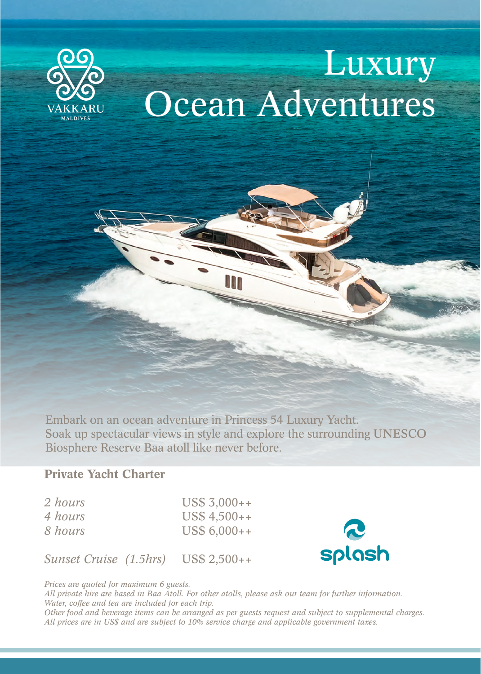

# Luxury Ocean Adventures

Embark on an ocean adventure in Princess 54 Luxury Yacht. Soak up spectacular views in style and explore the surrounding UNESCO Biosphere Reserve Baa atoll like never before.

## Private Yacht Charter

| 2 hours |
|---------|
| 4 hours |
| 8 hours |

US\$ 3,000++ US\$ 4,500++ US\$ 6,000++





*Prices are quoted for maximum 6 guests.*

*All private hire are based in Baa Atoll. For other atolls, please ask our team for further information. Water, coffee and tea are included for each trip.* 

*Other food and beverage items can be arranged as per guests request and subject to supplemental charges. All prices are in US\$ and are subject to 10% service charge and applicable government taxes.*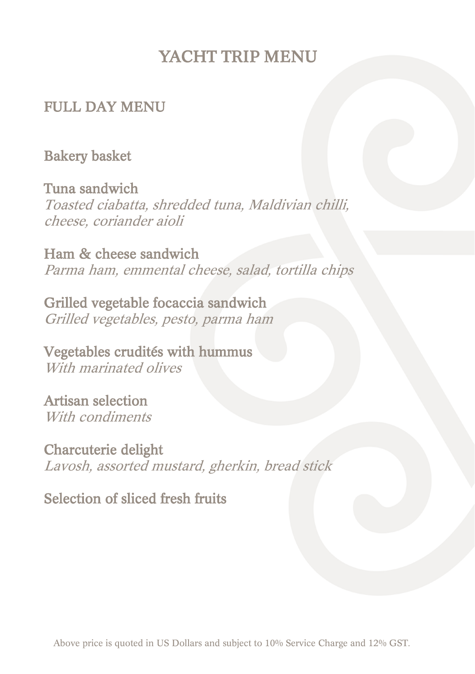## YACHT TRIP MENU

#### FULL DAY MENU

#### Bakery basket

Tuna sandwich Toasted ciabatta, shredded tuna, Maldivian chilli, cheese, coriander aioli

Ham & cheese sandwich Parma ham, emmental cheese, salad, tortilla chips

Grilled vegetable focaccia sandwich Grilled vegetables, pesto, parma ham

Vegetables crudités with hummus With marinated olives

Artisan selection With *condiments* 

Charcuterie delight Lavosh, assorted mustard, gherkin, bread stick

Selection of sliced fresh fruits